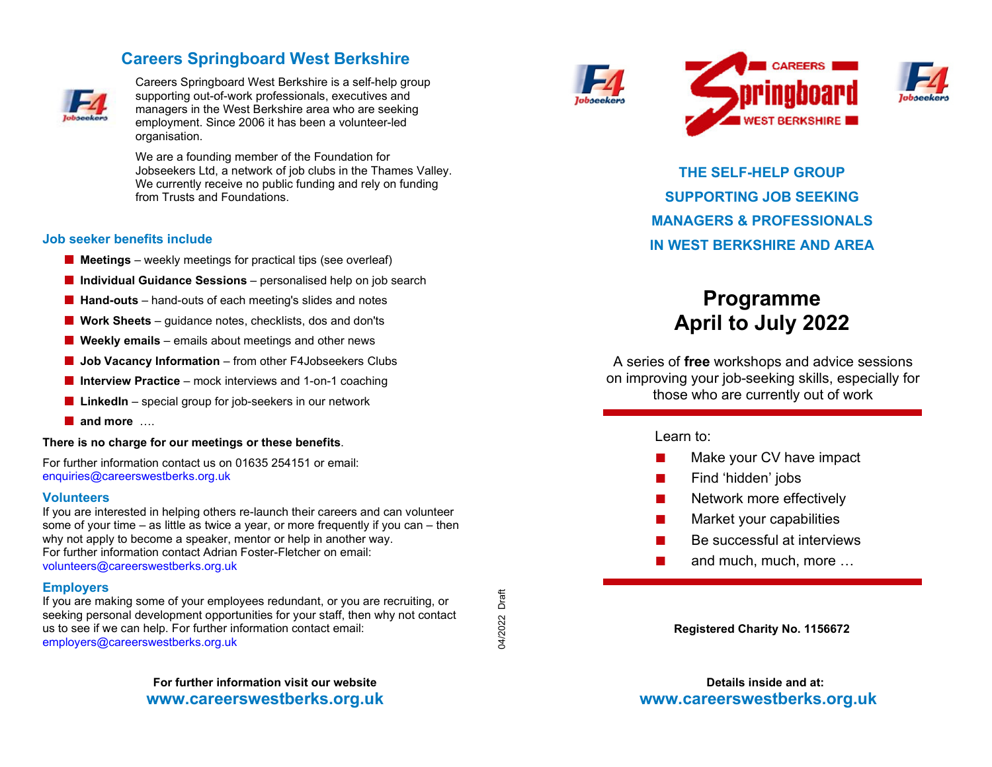# **Careers Springboard West Berkshire**



Careers Springboard West Berkshire is a self-help group supporting out-of-work professionals, executives and managers in the West Berkshire area who are seekingemployment. Since 2006 it has been a volunteer-led organisation.

We are a founding member of the Foundation for Jobseekers Ltd, a network of job clubs in the Thames Valley. We currently receive no public funding and rely on funding from Trusts and Foundations.

#### **Job seeker benefits include**

- **Meetings** weekly meetings for practical tips (see overleaf)
- **Individual Guidance Sessions** personalised help on job search
- **Hand-outs** hand-outs of each meeting's slides and notes
- **Work Sheets** guidance notes, checklists, dos and don'ts
- **Weekly emails** emails about meetings and other news
- **Job Vacancy Information** from other F4Jobseekers Clubs
- **Interview Practice** mock interviews and 1-on-1 coaching
- **LinkedIn** special group for job-seekers in our network
- **and more** ….

#### **There is no charge for our meetings or these benefits**.

For further information contact us on 01635 254151 or email: enquiries@careerswestberks.org.uk

#### **Volunteers**

 If you are interested in helping others re-launch their careers and can volunteer some of your time – as little as twice a year, or more frequently if you can – then why not apply to become a speaker, mentor or help in another way. For further information contact Adrian Foster-Fletcher on email: volunteers@careerswestberks.org.uk

### **Employers**

 If you are making some of your employees redundant, or you are recruiting, or seeking personal development opportunities for your staff, then why not contact us to see if we can help. For further information contact email: employers@careerswestberks.org.uk

> **For further information visit our website www.careerswestberks.org.uk**



04/2022 Draft

04/2022

Draft





**THE SELF-HELP GROUP SUPPORTING JOB SEEKING MANAGERS & PROFESSIONALS IN WEST BERKSHIRE AND AREA** 

# **Programme April to July 2022**

A series of **free** workshops and advice sessions on improving your job-seeking skills, especially for those who are currently out of work

### Learn to:

- Make your CV have impact
- Find 'hidden' jobs
- **Network more effectively**
- Market your capabilities
- Be successful at interviews
- and much, much, more …

**Registered Charity No. 1156672** 

**Details inside and at: www.careerswestberks.org.uk**